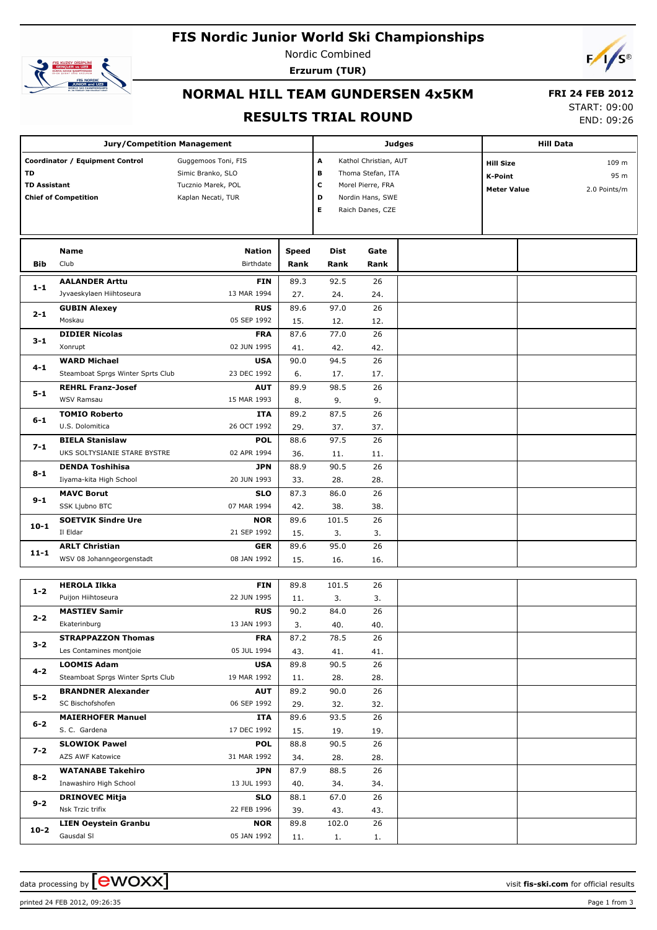# **FIS Nordic Junior World Ski Championships**



Nordic Combined **Erzurum (TUR)**



# **NORMAL HILL TEAM GUNDERSEN 4x5KM**

#### **FRI 24 FEB 2012** START: 09:00

## **RESULTS TRIAL ROUND**

END: 09:26

|                                                                                                    | <b>Jury/Competition Management</b>                       |                                                                                      |                                                                                                                                  |                     |              | <b>Judges</b>                                                            | <b>Hill Data</b> |  |  |
|----------------------------------------------------------------------------------------------------|----------------------------------------------------------|--------------------------------------------------------------------------------------|----------------------------------------------------------------------------------------------------------------------------------|---------------------|--------------|--------------------------------------------------------------------------|------------------|--|--|
| Coordinator / Equipment Control<br><b>TD</b><br><b>TD Assistant</b><br><b>Chief of Competition</b> |                                                          | Guggemoos Toni, FIS<br>Simic Branko, SLO<br>Tucznio Marek, POL<br>Kaplan Necati, TUR | Kathol Christian, AUT<br>Α<br>В<br>Thoma Stefan, ITA<br>c<br>Morel Pierre, FRA<br>Nordin Hans, SWE<br>D<br>Е<br>Raich Danes, CZE |                     |              | <b>Hill Size</b><br><b>K-Point</b><br>2.0 Points/m<br><b>Meter Value</b> |                  |  |  |
| <b>Bib</b>                                                                                         | <b>Name</b><br>Club                                      | <b>Nation</b><br>Birthdate                                                           | <b>Speed</b><br>Rank                                                                                                             | <b>Dist</b><br>Rank | Gate<br>Rank |                                                                          |                  |  |  |
| $1 - 1$                                                                                            | <b>AALANDER Arttu</b><br>Jyvaeskylaen Hiihtoseura        | <b>FIN</b><br>13 MAR 1994                                                            | 89.3<br>27.                                                                                                                      | 92.5<br>24.         | 26<br>24.    |                                                                          |                  |  |  |
| $2 - 1$                                                                                            | <b>GUBIN Alexey</b><br>Moskau                            | <b>RUS</b><br>05 SEP 1992                                                            | 89.6<br>15.                                                                                                                      | 97.0<br>12.         | 26<br>12.    |                                                                          |                  |  |  |
| $3 - 1$                                                                                            | <b>DIDIER Nicolas</b><br>Xonrupt                         | <b>FRA</b><br>02 JUN 1995                                                            | 87.6<br>41.                                                                                                                      | 77.0<br>42.         | 26<br>42.    |                                                                          |                  |  |  |
| $4 - 1$                                                                                            | <b>WARD Michael</b><br>Steamboat Sprgs Winter Sprts Club | <b>USA</b><br>23 DEC 1992                                                            | 90.0<br>6.                                                                                                                       | 94.5<br>17.         | 26<br>17.    |                                                                          |                  |  |  |
| $5 - 1$                                                                                            | <b>REHRL Franz-Josef</b><br><b>WSV Ramsau</b>            | <b>AUT</b><br>15 MAR 1993                                                            | 89.9<br>8.                                                                                                                       | 98.5<br>9.          | 26<br>9.     |                                                                          |                  |  |  |
| $6 - 1$                                                                                            | <b>TOMIO Roberto</b><br>U.S. Dolomitica                  | <b>ITA</b><br>26 OCT 1992                                                            | 89.2<br>29.                                                                                                                      | 87.5<br>37.         | 26<br>37.    |                                                                          |                  |  |  |
| $7 - 1$                                                                                            | <b>BIELA Stanislaw</b><br>UKS SOLTYSIANIE STARE BYSTRE   | <b>POL</b><br>02 APR 1994                                                            | 88.6<br>36.                                                                                                                      | 97.5<br>11.         | 26<br>11.    |                                                                          |                  |  |  |
| $8 - 1$                                                                                            | <b>DENDA Toshihisa</b><br>Iiyama-kita High School        | <b>JPN</b><br>20 JUN 1993                                                            | 88.9<br>33.                                                                                                                      | 90.5<br>28.         | 26<br>28.    |                                                                          |                  |  |  |
| $9 - 1$                                                                                            | <b>MAVC Borut</b><br>SSK Ljubno BTC                      | <b>SLO</b><br>07 MAR 1994                                                            | 87.3<br>42.                                                                                                                      | 86.0<br>38.         | 26<br>38.    |                                                                          |                  |  |  |
| $10 - 1$                                                                                           | <b>SOETVIK Sindre Ure</b><br>Il Eldar                    | <b>NOR</b><br>21 SEP 1992                                                            | 89.6<br>15.                                                                                                                      | 101.5<br>3.         | 26<br>3.     |                                                                          |                  |  |  |
| $11 - 1$                                                                                           | <b>ARLT Christian</b><br>WSV 08 Johanngeorgenstadt       | <b>GER</b><br>08 JAN 1992                                                            | 89.6<br>15.                                                                                                                      | 95.0<br>16.         | 26<br>16.    |                                                                          |                  |  |  |
|                                                                                                    | <b>HEROLA Ilkka</b>                                      | <b>FIN</b>                                                                           | 89.8                                                                                                                             | 101.5               | 26           |                                                                          |                  |  |  |

| $1 - 2$ | <b>HEROLA Ilkka</b>               | <b>FIN</b>  | 89.8 | 101.5 | 26  |  |
|---------|-----------------------------------|-------------|------|-------|-----|--|
|         | Puijon Hiihtoseura                | 22 JUN 1995 | 11.  | 3.    | 3.  |  |
| $2 - 2$ | <b>MASTIEV Samir</b>              | <b>RUS</b>  | 90.2 | 84.0  | 26  |  |
|         | Ekaterinburg                      | 13 JAN 1993 | 3.   | 40.   | 40. |  |
| $3 - 2$ | <b>STRAPPAZZON Thomas</b>         | <b>FRA</b>  | 87.2 | 78.5  | 26  |  |
|         | Les Contamines montjoie           | 05 JUL 1994 | 43.  | 41.   | 41. |  |
| $4 - 2$ | <b>LOOMIS Adam</b>                | <b>USA</b>  | 89.8 | 90.5  | 26  |  |
|         | Steamboat Sprgs Winter Sprts Club | 19 MAR 1992 | 11.  | 28.   | 28. |  |
| $5-2$   | <b>BRANDNER Alexander</b>         | <b>AUT</b>  | 89.2 | 90.0  | 26  |  |
|         | SC Bischofshofen                  | 06 SEP 1992 | 29.  | 32.   | 32. |  |
| $6 - 2$ | <b>MAIERHOFER Manuel</b>          | <b>ITA</b>  | 89.6 | 93.5  | 26  |  |
|         | S. C. Gardena                     | 17 DEC 1992 | 15.  | 19.   | 19. |  |
| $7 - 2$ | <b>SLOWIOK Pawel</b>              | <b>POL</b>  | 88.8 | 90.5  | 26  |  |
|         | AZS AWF Katowice                  | 31 MAR 1992 | 34.  | 28.   | 28. |  |
| $8 - 2$ | <b>WATANABE Takehiro</b>          | <b>JPN</b>  | 87.9 | 88.5  | 26  |  |
|         | Inawashiro High School            | 13 JUL 1993 | 40.  | 34.   | 34. |  |
| $9 - 2$ | <b>DRINOVEC Mitja</b>             | <b>SLO</b>  | 88.1 | 67.0  | 26  |  |
|         | Nsk Trzic trifix                  | 22 FEB 1996 | 39.  | 43.   | 43. |  |
| $10-2$  | <b>LIEN Oeystein Granbu</b>       | <b>NOR</b>  | 89.8 | 102.0 | 26  |  |
|         | Gausdal SI                        | 05 JAN 1992 | 11.  | 1.    | 1.  |  |

printed 24 FEB 2012, 09:26:35 Page 1 from 3

data processing by **CWOXX**  $\blacksquare$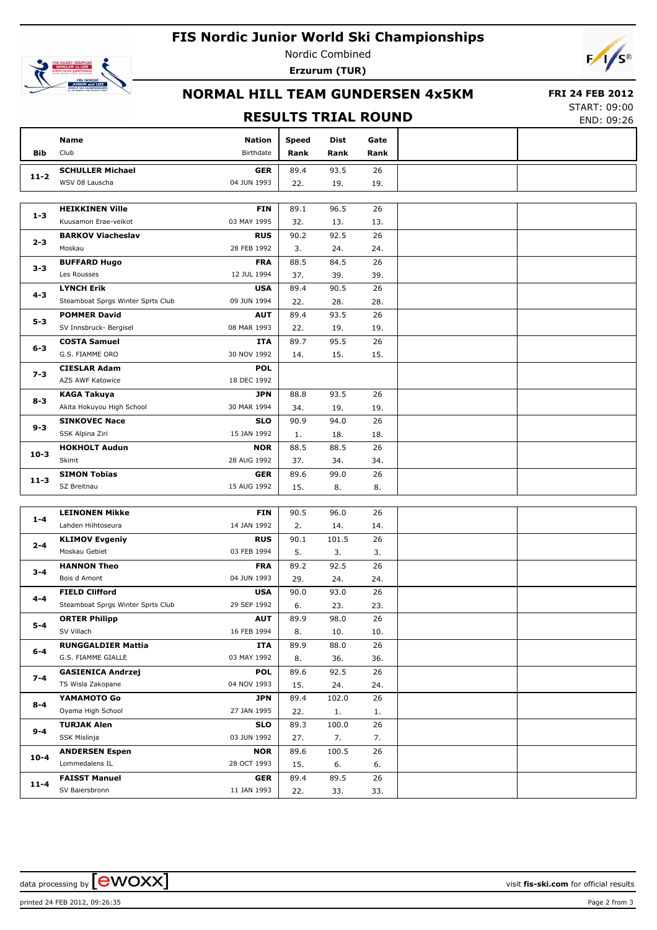# **FIS Nordic Junior World Ski Championships**



Nordic Combined **Erzurum (TUR)**



## **NORMAL HILL TEAM GUNDERSEN 4x5KM**

#### **FRI 24 FEB 2012**

### **RESULTS TRIAL ROUND**

START: 09:00 END: 09:26

|            |                                    |                           |            |             |           | LIVD. UJ.LU |
|------------|------------------------------------|---------------------------|------------|-------------|-----------|-------------|
|            | Name                               | <b>Nation</b>             | Speed      | Dist        | Gate      |             |
| <b>Bib</b> | Club                               | Birthdate                 | Rank       | Rank        | Rank      |             |
|            | <b>SCHULLER Michael</b>            | <b>GER</b>                | 89.4       | 93.5        | 26        |             |
| $11 - 2$   | WSV 08 Lauscha                     | 04 JUN 1993               | 22.        | 19.         | 19.       |             |
|            |                                    |                           |            |             |           |             |
|            | <b>HEIKKINEN Ville</b>             | <b>FIN</b>                | 89.1       | 96.5        | 26        |             |
| $1 - 3$    | Kuusamon Erae-veikot               | 03 MAY 1995               | 32.        | 13.         | 13.       |             |
|            | <b>BARKOV Viacheslav</b>           | <b>RUS</b>                | 90.2       | 92.5        | 26        |             |
| $2 - 3$    | Moskau                             | 28 FEB 1992               | 3.         | 24.         | 24.       |             |
|            | <b>BUFFARD Hugo</b>                | <b>FRA</b>                | 88.5       | 84.5        | 26        |             |
| $3 - 3$    | Les Rousses                        | 12 JUL 1994               | 37.        | 39.         | 39.       |             |
|            | <b>LYNCH Erik</b>                  | <b>USA</b>                | 89.4       | 90.5        | 26        |             |
| 4-3        | Steamboat Sprgs Winter Sprts Club  | 09 JUN 1994               | 22.        | 28.         | 28.       |             |
| $5 - 3$    | <b>POMMER David</b>                | <b>AUT</b>                | 89.4       | 93.5        | 26        |             |
|            | SV Innsbruck- Bergisel             | 08 MAR 1993               | 22.        | 19.         | 19.       |             |
| $6 - 3$    | <b>COSTA Samuel</b>                | ITA                       | 89.7       | 95.5        | 26        |             |
|            | G.S. FIAMME ORO                    | 30 NOV 1992               | 14.        | 15.         | 15.       |             |
| $7 - 3$    | <b>CIESLAR Adam</b>                | <b>POL</b>                |            |             |           |             |
|            | AZS AWF Katowice                   | 18 DEC 1992               |            |             |           |             |
| $8 - 3$    | KAGA Takuya                        | <b>JPN</b>                | 88.8       | 93.5        | 26        |             |
|            | Akita Hokuyou High School          | 30 MAR 1994               | 34.        | 19.         | 19.       |             |
| $9 - 3$    | <b>SINKOVEC Nace</b>               | <b>SLO</b>                | 90.9       | 94.0        | 26        |             |
|            | SSK Alpina Ziri                    | 15 JAN 1992               | 1.         | 18.         | 18.       |             |
| $10 - 3$   | <b>HOKHOLT Audun</b>               | <b>NOR</b>                | 88.5       | 88.5        | 26        |             |
|            | Skimt                              | 28 AUG 1992               | 37.        | 34.         | 34.       |             |
| $11 - 3$   | <b>SIMON Tobias</b>                | <b>GER</b>                | 89.6       | 99.0        | 26        |             |
|            | SZ Breitnau                        | 15 AUG 1992               | 15.        | 8.          | 8.        |             |
|            |                                    |                           |            |             |           |             |
| $1 - 4$    | <b>LEINONEN Mikke</b>              | <b>FIN</b>                | 90.5       | 96.0        | 26        |             |
|            | Lahden Hiihtoseura                 | 14 JAN 1992               | 2.         | 14.         | 14.       |             |
| $2 - 4$    | <b>KLIMOV Evgeniy</b>              | <b>RUS</b>                | 90.1       | 101.5       | 26        |             |
|            | Moskau Gebiet                      | 03 FEB 1994               | 5.         | 3.          | 3.        |             |
| $3 - 4$    | <b>HANNON Theo</b>                 | <b>FRA</b>                | 89.2       | 92.5        | 26        |             |
|            | Bois d Amont                       | 04 JUN 1993               | 29.        | 24.         | 24.       |             |
| $4 - 4$    | <b>FIELD Clifford</b>              | <b>USA</b><br>29 SEP 1992 | 90.0       | 93.0        | 26        |             |
|            | Steamboat Sprgs Winter Sprts Club  |                           | 6.<br>89.9 | 23.<br>98.0 | 23.<br>26 |             |
| $5 - 4$    | <b>ORTER Philipp</b><br>SV Villach | <b>AUT</b><br>16 FEB 1994 |            |             |           |             |
|            | <b>RUNGGALDIER Mattia</b>          | ITA                       | 8.<br>89.9 | 10.<br>88.0 | 10.<br>26 |             |
| $6-4$      | G.S. FIAMME GIALLE                 | 03 MAY 1992               | 8.         | 36.         | 36.       |             |
|            | <b>GASIENICA Andrzej</b>           | <b>POL</b>                | 89.6       | 92.5        | 26        |             |
| $7 - 4$    | TS Wisla Zakopane                  | 04 NOV 1993               | 15.        | 24.         | 24.       |             |
|            | YAMAMOTO Go                        | <b>JPN</b>                | 89.4       | 102.0       | 26        |             |
| $8 - 4$    | Oyama High School                  | 27 JAN 1995               | 22.        | 1.          | 1.        |             |
|            | <b>TURJAK Alen</b>                 | <b>SLO</b>                | 89.3       | 100.0       | 26        |             |
| $9 - 4$    | SSK Mislinja                       | 03 JUN 1992               | 27.        | 7.          | 7.        |             |
|            | <b>ANDERSEN Espen</b>              | <b>NOR</b>                | 89.6       | 100.5       | 26        |             |
| $10 - 4$   | Lommedalens IL                     | 28 OCT 1993               | 15.        | 6.          | 6.        |             |
|            | <b>FAISST Manuel</b>               | <b>GER</b>                | 89.4       | 89.5        | 26        |             |
| $11 - 4$   | SV Baiersbronn                     | 11 JAN 1993               | 22.        | 33.         | 33.       |             |
|            |                                    |                           |            |             |           |             |

data processing by **CWOXX**  $\blacksquare$